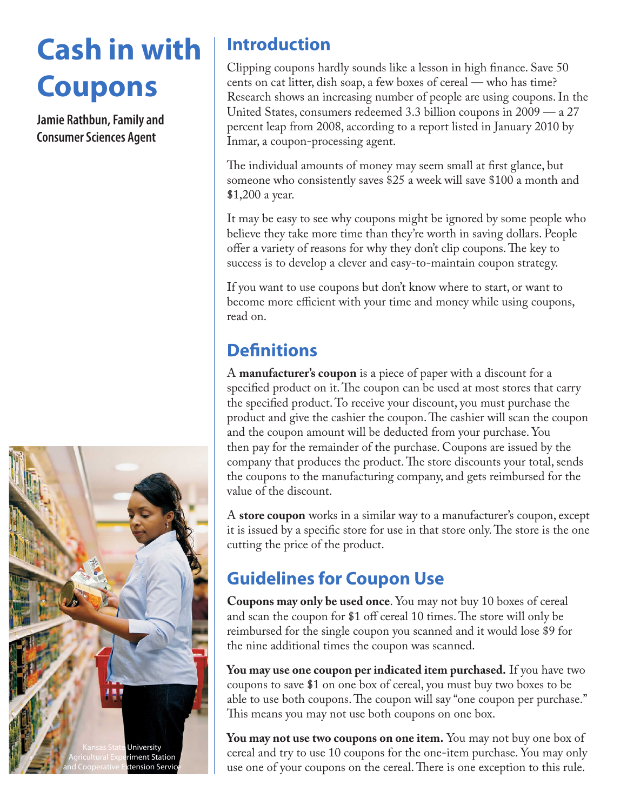# **Cash in with Coupons**

**Jamie Rathbun, Family and Consumer Sciences Agent**



### **Introduction**

Clipping coupons hardly sounds like a lesson in high finance. Save 50 cents on cat litter, dish soap, a few boxes of cereal — who has time? Research shows an increasing number of people are using coupons. In the United States, consumers redeemed 3.3 billion coupons in 2009 — a 27 percent leap from 2008, according to a report listed in January 2010 by Inmar, a coupon-processing agent.

The individual amounts of money may seem small at first glance, but someone who consistently saves \$25 a week will save \$100 a month and \$1,200 a year.

It may be easy to see why coupons might be ignored by some people who believe they take more time than they're worth in saving dollars. People offer a variety of reasons for why they don't clip coupons. The key to success is to develop a clever and easy-to-maintain coupon strategy.

If you want to use coupons but don't know where to start, or want to become more efficient with your time and money while using coupons, read on.

### **Definitions**

A **manufacturer's coupon** is a piece of paper with a discount for a specified product on it. The coupon can be used at most stores that carry the specified product. To receive your discount, you must purchase the product and give the cashier the coupon. The cashier will scan the coupon and the coupon amount will be deducted from your purchase. You then pay for the remainder of the purchase. Coupons are issued by the company that produces the product. The store discounts your total, sends the coupons to the manufacturing company, and gets reimbursed for the value of the discount.

A **store coupon** works in a similar way to a manufacturer's coupon, except it is issued by a specific store for use in that store only. The store is the one cutting the price of the product.

## **Guidelines for Coupon Use**

**Coupons may only be used once**. You may not buy 10 boxes of cereal and scan the coupon for \$1 off cereal 10 times. The store will only be reimbursed for the single coupon you scanned and it would lose \$9 for the nine additional times the coupon was scanned.

**You may use one coupon per indicated item purchased.** If you have two coupons to save \$1 on one box of cereal, you must buy two boxes to be able to use both coupons. The coupon will say "one coupon per purchase." This means you may not use both coupons on one box.

**You may not use two coupons on one item.** You may not buy one box of cereal and try to use 10 coupons for the one-item purchase. You may only use one of your coupons on the cereal. There is one exception to this rule.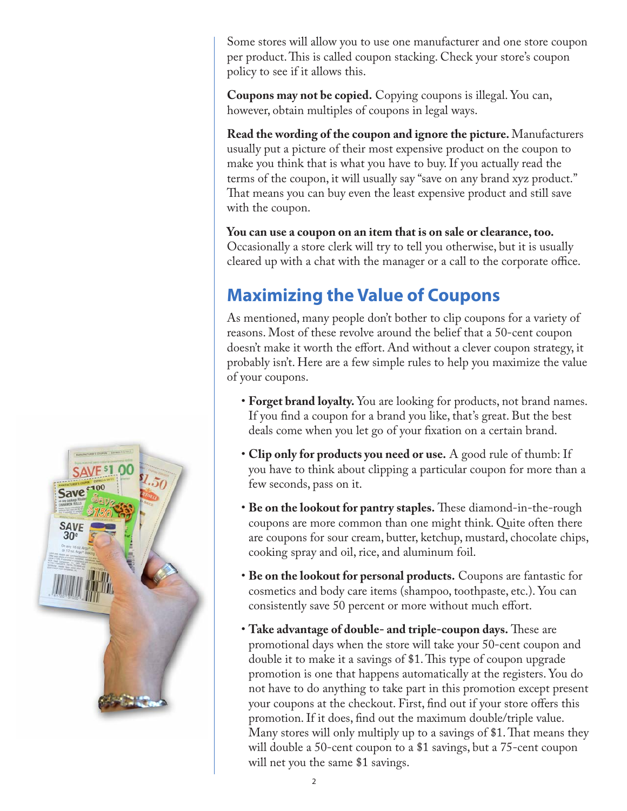Some stores will allow you to use one manufacturer and one store coupon per product. This is called coupon stacking. Check your store's coupon policy to see if it allows this.

**Coupons may not be copied.** Copying coupons is illegal. You can, however, obtain multiples of coupons in legal ways.

**Read the wording of the coupon and ignore the picture.** Manufacturers usually put a picture of their most expensive product on the coupon to make you think that is what you have to buy. If you actually read the terms of the coupon, it will usually say "save on any brand xyz product." That means you can buy even the least expensive product and still save with the coupon.

**You can use a coupon on an item that is on sale or clearance, too.**  Occasionally a store clerk will try to tell you otherwise, but it is usually cleared up with a chat with the manager or a call to the corporate office.

### **Maximizing the Value of Coupons**

As mentioned, many people don't bother to clip coupons for a variety of reasons. Most of these revolve around the belief that a 50-cent coupon doesn't make it worth the effort. And without a clever coupon strategy, it probably isn't. Here are a few simple rules to help you maximize the value of your coupons.

- **Forget brand loyalty.** You are looking for products, not brand names. If you find a coupon for a brand you like, that's great. But the best deals come when you let go of your fixation on a certain brand.
- **Clip only for products you need or use.** A good rule of thumb: If you have to think about clipping a particular coupon for more than a few seconds, pass on it.
- **Be on the lookout for pantry staples.** These diamond-in-the-rough coupons are more common than one might think. Quite often there are coupons for sour cream, butter, ketchup, mustard, chocolate chips, cooking spray and oil, rice, and aluminum foil.
- **Be on the lookout for personal products.** Coupons are fantastic for cosmetics and body care items (shampoo, toothpaste, etc.). You can consistently save 50 percent or more without much effort.
- **Take advantage of double- and triple-coupon days.** These are promotional days when the store will take your 50-cent coupon and double it to make it a savings of \$1. This type of coupon upgrade promotion is one that happens automatically at the registers. You do not have to do anything to take part in this promotion except present your coupons at the checkout. First, find out if your store offers this promotion. If it does, find out the maximum double/triple value. Many stores will only multiply up to a savings of \$1. That means they will double a 50-cent coupon to a \$1 savings, but a 75-cent coupon will net you the same \$1 savings.

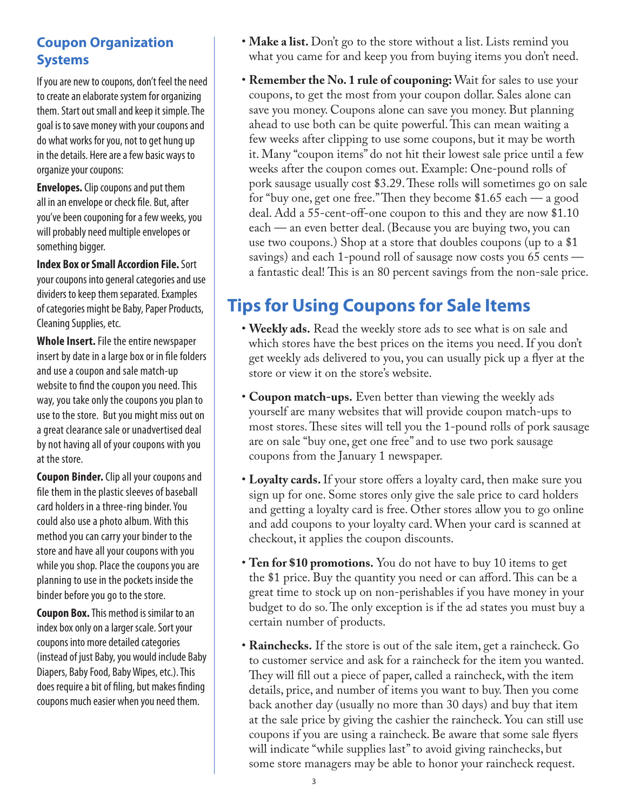### **Coupon Organization Systems**

If you are new to coupons, don't feel the need to create an elaborate system for organizing them. Start out small and keep it simple. The goal is to save money with your coupons and do what works for you, not to get hung up in the details. Here are a few basic ways to organize your coupons:

**Envelopes.** Clip coupons and put them all in an envelope or check file. But, after you've been couponing for a few weeks, you will probably need multiple envelopes or something bigger.

**Index Box or Small Accordion File.** Sort your coupons into general categories and use dividers to keep them separated. Examples of categories might be Baby, Paper Products, Cleaning Supplies, etc.

**Whole Insert.** File the entire newspaper insert by date in a large box or in file folders and use a coupon and sale match-up website to find the coupon you need. This way, you take only the coupons you plan to use to the store. But you might miss out on a great clearance sale or unadvertised deal by not having all of your coupons with you at the store.

**Coupon Binder.** Clip all your coupons and file them in the plastic sleeves of baseball card holders in a three-ring binder. You could also use a photo album. With this method you can carry your binder to the store and have all your coupons with you while you shop. Place the coupons you are planning to use in the pockets inside the binder before you go to the store.

**Coupon Box.** This method is similar to an index box only on a larger scale. Sort your coupons into more detailed categories (instead of just Baby, you would include Baby Diapers, Baby Food, Baby Wipes, etc.). This does require a bit of filing, but makes finding coupons much easier when you need them.

- **Make a list.** Don't go to the store without a list. Lists remind you what you came for and keep you from buying items you don't need.
- **Remember the No. 1 rule of couponing:** Wait for sales to use your coupons, to get the most from your coupon dollar. Sales alone can save you money. Coupons alone can save you money. But planning ahead to use both can be quite powerful. This can mean waiting a few weeks after clipping to use some coupons, but it may be worth it. Many "coupon items" do not hit their lowest sale price until a few weeks after the coupon comes out. Example: One-pound rolls of pork sausage usually cost \$3.29. These rolls will sometimes go on sale for "buy one, get one free." Then they become \$1.65 each — a good deal. Add a 55-cent-off-one coupon to this and they are now \$1.10 each — an even better deal. (Because you are buying two, you can use two coupons.) Shop at a store that doubles coupons (up to a \$1 savings) and each 1-pound roll of sausage now costs you 65 cents a fantastic deal! This is an 80 percent savings from the non-sale price.

### **Tips for Using Coupons for Sale Items**

- **Weekly ads.** Read the weekly store ads to see what is on sale and which stores have the best prices on the items you need. If you don't get weekly ads delivered to you, you can usually pick up a flyer at the store or view it on the store's website.
- **Coupon match-ups.** Even better than viewing the weekly ads yourself are many websites that will provide coupon match-ups to most stores. These sites will tell you the 1-pound rolls of pork sausage are on sale "buy one, get one free" and to use two pork sausage coupons from the January 1 newspaper.
- **Loyalty cards.** If your store offers a loyalty card, then make sure you sign up for one. Some stores only give the sale price to card holders and getting a loyalty card is free. Other stores allow you to go online and add coupons to your loyalty card. When your card is scanned at checkout, it applies the coupon discounts.
- **Ten for \$10 promotions.** You do not have to buy 10 items to get the \$1 price. Buy the quantity you need or can afford. This can be a great time to stock up on non-perishables if you have money in your budget to do so. The only exception is if the ad states you must buy a certain number of products.
- **Rainchecks.** If the store is out of the sale item, get a raincheck. Go to customer service and ask for a raincheck for the item you wanted. They will fill out a piece of paper, called a raincheck, with the item details, price, and number of items you want to buy. Then you come back another day (usually no more than 30 days) and buy that item at the sale price by giving the cashier the raincheck. You can still use coupons if you are using a raincheck. Be aware that some sale flyers will indicate "while supplies last" to avoid giving rainchecks, but some store managers may be able to honor your raincheck request.